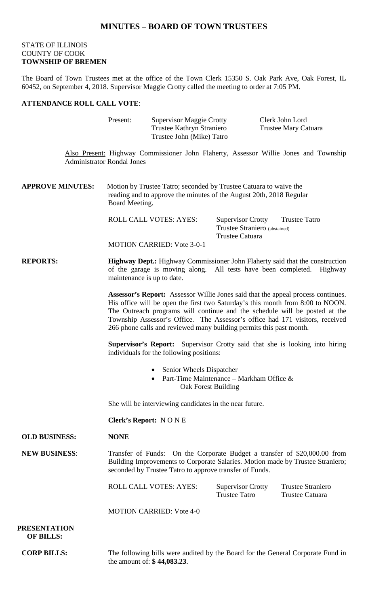## **MINUTES – BOARD OF TOWN TRUSTEES**

## STATE OF ILLINOIS COUNTY OF COOK **TOWNSHIP OF BREMEN**

The Board of Town Trustees met at the office of the Town Clerk 15350 S. Oak Park Ave, Oak Forest, IL 60452, on September 4, 2018. Supervisor Maggie Crotty called the meeting to order at 7:05 PM.

## **ATTENDANCE ROLL CALL VOTE**:

Present: Supervisor Maggie Crotty Clerk John Lord Trustee Kathryn Straniero Trustee Mary Catuara Trustee John (Mike) Tatro

Also Present: Highway Commissioner John Flaherty, Assessor Willie Jones and Township Administrator Rondal Jones

| <b>APPROVE MINUTES:</b> | Motion by Trustee Tatro; seconded by Trustee Catuara to waive the<br>reading and to approve the minutes of the August 20th, 2018 Regular<br>Board Meeting.                                                                                                                                                                                                                                                     |                                                                              |                                                    |
|-------------------------|----------------------------------------------------------------------------------------------------------------------------------------------------------------------------------------------------------------------------------------------------------------------------------------------------------------------------------------------------------------------------------------------------------------|------------------------------------------------------------------------------|----------------------------------------------------|
|                         | <b>ROLL CALL VOTES: AYES:</b>                                                                                                                                                                                                                                                                                                                                                                                  | Supervisor Crotty<br>Trustee Straniero (abstained)<br><b>Trustee Catuara</b> | <b>Trustee Tatro</b>                               |
|                         | <b>MOTION CARRIED: Vote 3-0-1</b>                                                                                                                                                                                                                                                                                                                                                                              |                                                                              |                                                    |
| <b>REPORTS:</b>         | <b>Highway Dept.:</b> Highway Commissioner John Flaherty said that the construction<br>of the garage is moving along. All tests have been completed. Highway<br>maintenance is up to date.                                                                                                                                                                                                                     |                                                                              |                                                    |
|                         | <b>Assessor's Report:</b> Assessor Willie Jones said that the appeal process continues.<br>His office will be open the first two Saturday's this month from 8:00 to NOON.<br>The Outreach programs will continue and the schedule will be posted at the<br>Township Assessor's Office. The Assessor's office had 171 visitors, received<br>266 phone calls and reviewed many building permits this past month. |                                                                              |                                                    |
|                         | <b>Supervisor's Report:</b> Supervisor Crotty said that she is looking into hiring<br>individuals for the following positions:<br>Senior Wheels Dispatcher<br>Part-Time Maintenance – Markham Office &<br>Oak Forest Building                                                                                                                                                                                  |                                                                              |                                                    |
|                         |                                                                                                                                                                                                                                                                                                                                                                                                                |                                                                              |                                                    |
|                         | <b>Clerk's Report:</b> NONE                                                                                                                                                                                                                                                                                                                                                                                    |                                                                              |                                                    |
|                         | <b>OLD BUSINESS:</b>                                                                                                                                                                                                                                                                                                                                                                                           | <b>NONE</b>                                                                  |                                                    |
| <b>NEW BUSINESS:</b>    | Transfer of Funds: On the Corporate Budget a transfer of \$20,000.00 from<br>Building Improvements to Corporate Salaries. Motion made by Trustee Straniero;<br>seconded by Trustee Tatro to approve transfer of Funds.                                                                                                                                                                                         |                                                                              |                                                    |
|                         | <b>ROLL CALL VOTES: AYES:</b>                                                                                                                                                                                                                                                                                                                                                                                  | <b>Supervisor Crotty</b><br><b>Trustee Tatro</b>                             | <b>Trustee Straniero</b><br><b>Trustee Catuara</b> |
|                         | <b>MOTION CARRIED: Vote 4-0</b>                                                                                                                                                                                                                                                                                                                                                                                |                                                                              |                                                    |
| <b>PRESENTATION</b>     |                                                                                                                                                                                                                                                                                                                                                                                                                |                                                                              |                                                    |

**OF BILLS:**

**CORP BILLS:** The following bills were audited by the Board for the General Corporate Fund in the amount of: **\$ 44,083.23**.